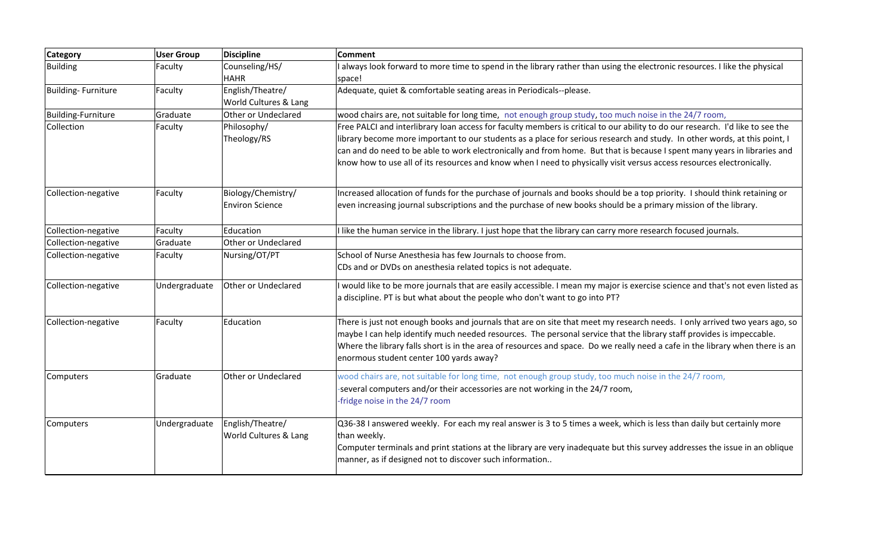| <b>Category</b>           | <b>User Group</b> | <b>Discipline</b>                            | <b>Comment</b>                                                                                                                                                                                                                                                                                                                                                                                                                                                                                                   |
|---------------------------|-------------------|----------------------------------------------|------------------------------------------------------------------------------------------------------------------------------------------------------------------------------------------------------------------------------------------------------------------------------------------------------------------------------------------------------------------------------------------------------------------------------------------------------------------------------------------------------------------|
| <b>Building</b>           | Faculty           | Counseling/HS/<br><b>HAHR</b>                | I always look forward to more time to spend in the library rather than using the electronic resources. I like the physical<br>space!                                                                                                                                                                                                                                                                                                                                                                             |
| Building-Furniture        | Faculty           | English/Theatre/<br>World Cultures & Lang    | Adequate, quiet & comfortable seating areas in Periodicals--please.                                                                                                                                                                                                                                                                                                                                                                                                                                              |
| <b>Building-Furniture</b> | Graduate          | Other or Undeclared                          | wood chairs are, not suitable for long time, not enough group study, too much noise in the 24/7 room,                                                                                                                                                                                                                                                                                                                                                                                                            |
| Collection                | Faculty           | Philosophy/<br>Theology/RS                   | Free PALCI and interlibrary loan access for faculty members is critical to our ability to do our research. I'd like to see the<br>library become more important to our students as a place for serious research and study. In other words, at this point, I<br>can and do need to be able to work electronically and from home. But that is because I spent many years in libraries and<br>know how to use all of its resources and know when I need to physically visit versus access resources electronically. |
| Collection-negative       | Faculty           | Biology/Chemistry/<br><b>Environ Science</b> | Increased allocation of funds for the purchase of journals and books should be a top priority. I should think retaining or<br>even increasing journal subscriptions and the purchase of new books should be a primary mission of the library.                                                                                                                                                                                                                                                                    |
| Collection-negative       | Faculty           | Education                                    | I like the human service in the library. I just hope that the library can carry more research focused journals.                                                                                                                                                                                                                                                                                                                                                                                                  |
| Collection-negative       | Graduate          | Other or Undeclared                          |                                                                                                                                                                                                                                                                                                                                                                                                                                                                                                                  |
| Collection-negative       | Faculty           | Nursing/OT/PT                                | School of Nurse Anesthesia has few Journals to choose from.<br>CDs and or DVDs on anesthesia related topics is not adequate.                                                                                                                                                                                                                                                                                                                                                                                     |
| Collection-negative       | Undergraduate     | Other or Undeclared                          | I would like to be more journals that are easily accessible. I mean my major is exercise science and that's not even listed as<br>a discipline. PT is but what about the people who don't want to go into PT?                                                                                                                                                                                                                                                                                                    |
| Collection-negative       | Faculty           | Education                                    | There is just not enough books and journals that are on site that meet my research needs. I only arrived two years ago, so<br>maybe I can help identify much needed resources. The personal service that the library staff provides is impeccable.<br>Where the library falls short is in the area of resources and space. Do we really need a cafe in the library when there is an<br>enormous student center 100 yards away?                                                                                   |
| Computers                 | Graduate          | Other or Undeclared                          | wood chairs are, not suitable for long time, not enough group study, too much noise in the 24/7 room,<br>-several computers and/or their accessories are not working in the 24/7 room,<br>-fridge noise in the 24/7 room                                                                                                                                                                                                                                                                                         |
| Computers                 | Undergraduate     | English/Theatre/<br>World Cultures & Lang    | Q36-38 I answered weekly. For each my real answer is 3 to 5 times a week, which is less than daily but certainly more<br>than weekly.<br>Computer terminals and print stations at the library are very inadequate but this survey addresses the issue in an oblique<br>manner, as if designed not to discover such information                                                                                                                                                                                   |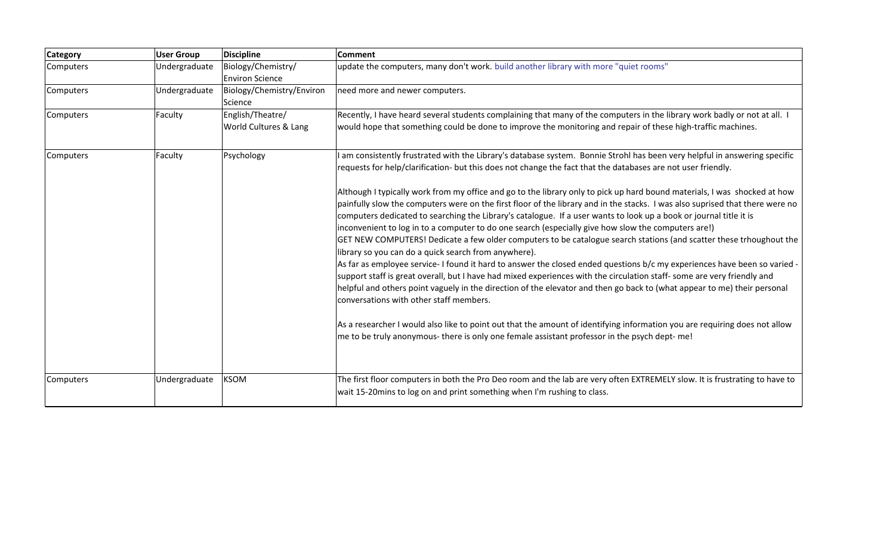| <b>Category</b> | <b>User Group</b> | <b>Discipline</b>         | <b>Comment</b>                                                                                                                                                                                                                                                                                                                                                                                                                                                                                                                                                                                                                                                                                                                                                                                                                                                                                                                                                                                                                                                                                       |
|-----------------|-------------------|---------------------------|------------------------------------------------------------------------------------------------------------------------------------------------------------------------------------------------------------------------------------------------------------------------------------------------------------------------------------------------------------------------------------------------------------------------------------------------------------------------------------------------------------------------------------------------------------------------------------------------------------------------------------------------------------------------------------------------------------------------------------------------------------------------------------------------------------------------------------------------------------------------------------------------------------------------------------------------------------------------------------------------------------------------------------------------------------------------------------------------------|
| Computers       | Undergraduate     | Biology/Chemistry/        | update the computers, many don't work. build another library with more "quiet rooms"                                                                                                                                                                                                                                                                                                                                                                                                                                                                                                                                                                                                                                                                                                                                                                                                                                                                                                                                                                                                                 |
|                 |                   | <b>Environ Science</b>    |                                                                                                                                                                                                                                                                                                                                                                                                                                                                                                                                                                                                                                                                                                                                                                                                                                                                                                                                                                                                                                                                                                      |
| Computers       | Undergraduate     | Biology/Chemistry/Environ | need more and newer computers.                                                                                                                                                                                                                                                                                                                                                                                                                                                                                                                                                                                                                                                                                                                                                                                                                                                                                                                                                                                                                                                                       |
|                 |                   | Science                   |                                                                                                                                                                                                                                                                                                                                                                                                                                                                                                                                                                                                                                                                                                                                                                                                                                                                                                                                                                                                                                                                                                      |
| Computers       | Faculty           | English/Theatre/          | Recently, I have heard several students complaining that many of the computers in the library work badly or not at all. I                                                                                                                                                                                                                                                                                                                                                                                                                                                                                                                                                                                                                                                                                                                                                                                                                                                                                                                                                                            |
|                 |                   | World Cultures & Lang     | would hope that something could be done to improve the monitoring and repair of these high-traffic machines.                                                                                                                                                                                                                                                                                                                                                                                                                                                                                                                                                                                                                                                                                                                                                                                                                                                                                                                                                                                         |
| Computers       | Faculty           | Psychology                | I am consistently frustrated with the Library's database system. Bonnie Strohl has been very helpful in answering specific                                                                                                                                                                                                                                                                                                                                                                                                                                                                                                                                                                                                                                                                                                                                                                                                                                                                                                                                                                           |
|                 |                   |                           | requests for help/clarification- but this does not change the fact that the databases are not user friendly.                                                                                                                                                                                                                                                                                                                                                                                                                                                                                                                                                                                                                                                                                                                                                                                                                                                                                                                                                                                         |
|                 |                   |                           | Although I typically work from my office and go to the library only to pick up hard bound materials, I was shocked at how<br>painfully slow the computers were on the first floor of the library and in the stacks. I was also suprised that there were no<br>computers dedicated to searching the Library's catalogue. If a user wants to look up a book or journal title it is<br>inconvenient to log in to a computer to do one search (especially give how slow the computers are!)<br>GET NEW COMPUTERS! Dedicate a few older computers to be catalogue search stations (and scatter these trhoughout the<br>library so you can do a quick search from anywhere).<br>As far as employee service- I found it hard to answer the closed ended questions b/c my experiences have been so varied -<br>support staff is great overall, but I have had mixed experiences with the circulation staff-some are very friendly and<br>helpful and others point vaguely in the direction of the elevator and then go back to (what appear to me) their personal<br>conversations with other staff members. |
|                 |                   |                           | As a researcher I would also like to point out that the amount of identifying information you are requiring does not allow<br>me to be truly anonymous- there is only one female assistant professor in the psych dept-me!                                                                                                                                                                                                                                                                                                                                                                                                                                                                                                                                                                                                                                                                                                                                                                                                                                                                           |
| Computers       | Undergraduate     | <b>KSOM</b>               | The first floor computers in both the Pro Deo room and the lab are very often EXTREMELY slow. It is frustrating to have to<br>wait 15-20mins to log on and print something when I'm rushing to class.                                                                                                                                                                                                                                                                                                                                                                                                                                                                                                                                                                                                                                                                                                                                                                                                                                                                                                |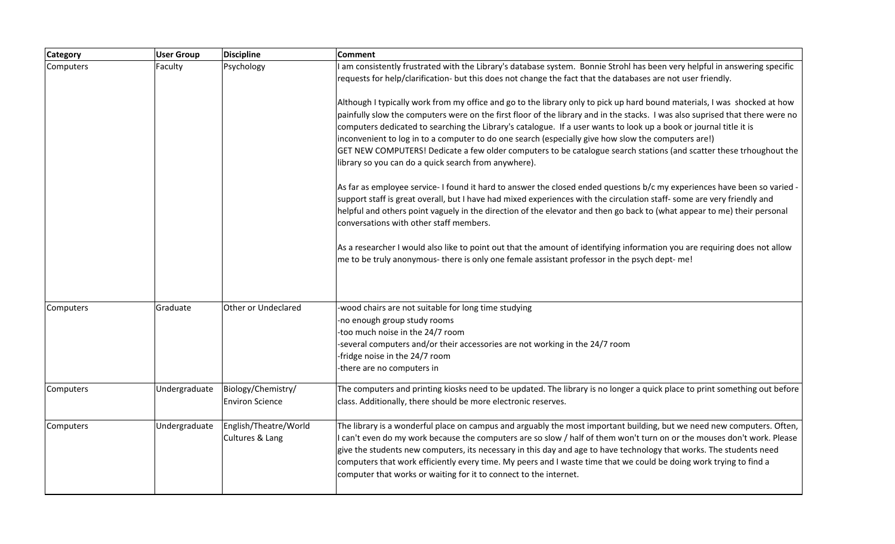| <b>Category</b> | <b>User Group</b> | <b>Discipline</b>                            | Comment                                                                                                                                                                                                                                                                                                                                                                                                                                                                                                                                                                                                                                                                |
|-----------------|-------------------|----------------------------------------------|------------------------------------------------------------------------------------------------------------------------------------------------------------------------------------------------------------------------------------------------------------------------------------------------------------------------------------------------------------------------------------------------------------------------------------------------------------------------------------------------------------------------------------------------------------------------------------------------------------------------------------------------------------------------|
| Computers       | Faculty           | Psychology                                   | I am consistently frustrated with the Library's database system. Bonnie Strohl has been very helpful in answering specific<br>requests for help/clarification- but this does not change the fact that the databases are not user friendly.                                                                                                                                                                                                                                                                                                                                                                                                                             |
|                 |                   |                                              | Although I typically work from my office and go to the library only to pick up hard bound materials, I was shocked at how<br>painfully slow the computers were on the first floor of the library and in the stacks. I was also suprised that there were no<br>computers dedicated to searching the Library's catalogue. If a user wants to look up a book or journal title it is<br>inconvenient to log in to a computer to do one search (especially give how slow the computers are!)<br>GET NEW COMPUTERS! Dedicate a few older computers to be catalogue search stations (and scatter these trhoughout the<br>library so you can do a quick search from anywhere). |
|                 |                   |                                              | As far as employee service- I found it hard to answer the closed ended questions b/c my experiences have been so varied -<br>support staff is great overall, but I have had mixed experiences with the circulation staff- some are very friendly and<br>helpful and others point vaguely in the direction of the elevator and then go back to (what appear to me) their personal<br>conversations with other staff members.                                                                                                                                                                                                                                            |
|                 |                   |                                              | As a researcher I would also like to point out that the amount of identifying information you are requiring does not allow<br>me to be truly anonymous- there is only one female assistant professor in the psych dept-me!                                                                                                                                                                                                                                                                                                                                                                                                                                             |
| Computers       | Graduate          | Other or Undeclared                          | -wood chairs are not suitable for long time studying                                                                                                                                                                                                                                                                                                                                                                                                                                                                                                                                                                                                                   |
|                 |                   |                                              | -no enough group study rooms                                                                                                                                                                                                                                                                                                                                                                                                                                                                                                                                                                                                                                           |
|                 |                   |                                              | too much noise in the 24/7 room                                                                                                                                                                                                                                                                                                                                                                                                                                                                                                                                                                                                                                        |
|                 |                   |                                              | -several computers and/or their accessories are not working in the 24/7 room                                                                                                                                                                                                                                                                                                                                                                                                                                                                                                                                                                                           |
|                 |                   |                                              | -fridge noise in the 24/7 room                                                                                                                                                                                                                                                                                                                                                                                                                                                                                                                                                                                                                                         |
|                 |                   |                                              | there are no computers in                                                                                                                                                                                                                                                                                                                                                                                                                                                                                                                                                                                                                                              |
| Computers       | Undergraduate     | Biology/Chemistry/<br><b>Environ Science</b> | The computers and printing kiosks need to be updated. The library is no longer a quick place to print something out before<br>class. Additionally, there should be more electronic reserves.                                                                                                                                                                                                                                                                                                                                                                                                                                                                           |
| Computers       | Undergraduate     | English/Theatre/World<br>Cultures & Lang     | The library is a wonderful place on campus and arguably the most important building, but we need new computers. Often,<br>I can't even do my work because the computers are so slow / half of them won't turn on or the mouses don't work. Please<br>give the students new computers, its necessary in this day and age to have technology that works. The students need<br>computers that work efficiently every time. My peers and I waste time that we could be doing work trying to find a<br>computer that works or waiting for it to connect to the internet.                                                                                                    |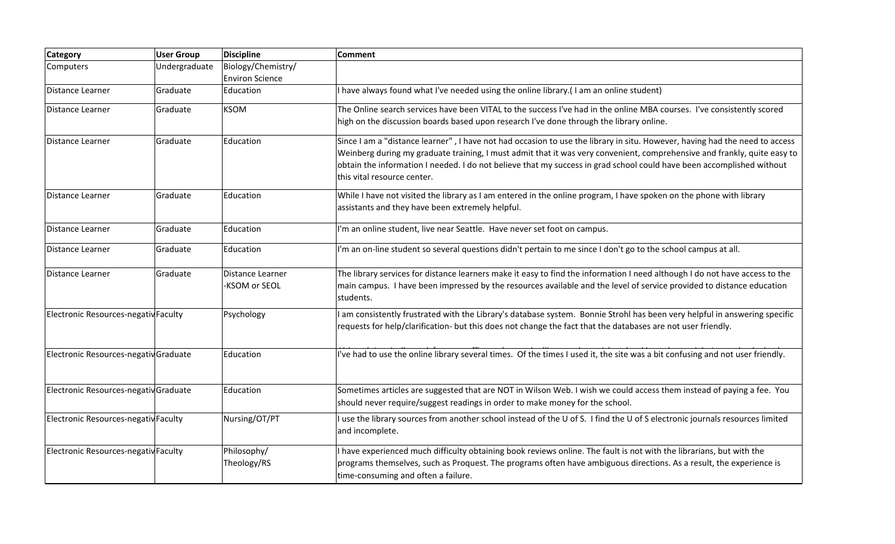| <b>Category</b>                       | <b>User Group</b> | <b>Discipline</b>                            | <b>Comment</b>                                                                                                                                                                                                                                                                                                                                                                                                  |
|---------------------------------------|-------------------|----------------------------------------------|-----------------------------------------------------------------------------------------------------------------------------------------------------------------------------------------------------------------------------------------------------------------------------------------------------------------------------------------------------------------------------------------------------------------|
| Computers                             | Undergraduate     | Biology/Chemistry/<br><b>Environ Science</b> |                                                                                                                                                                                                                                                                                                                                                                                                                 |
| Distance Learner                      | Graduate          | Education                                    | I have always found what I've needed using the online library.(I am an online student)                                                                                                                                                                                                                                                                                                                          |
| Distance Learner                      | Graduate          | <b>KSOM</b>                                  | The Online search services have been VITAL to the success I've had in the online MBA courses. I've consistently scored<br>high on the discussion boards based upon research I've done through the library online.                                                                                                                                                                                               |
| Distance Learner                      | Graduate          | Education                                    | Since I am a "distance learner", I have not had occasion to use the library in situ. However, having had the need to access<br>Weinberg during my graduate training, I must admit that it was very convenient, comprehensive and frankly, quite easy to<br>obtain the information I needed. I do not believe that my success in grad school could have been accomplished without<br>this vital resource center. |
| Distance Learner                      | Graduate          | Education                                    | While I have not visited the library as I am entered in the online program, I have spoken on the phone with library<br>assistants and they have been extremely helpful.                                                                                                                                                                                                                                         |
| Distance Learner                      | Graduate          | Education                                    | I'm an online student, live near Seattle. Have never set foot on campus.                                                                                                                                                                                                                                                                                                                                        |
| Distance Learner                      | Graduate          | Education                                    | I'm an on-line student so several questions didn't pertain to me since I don't go to the school campus at all.                                                                                                                                                                                                                                                                                                  |
| Distance Learner                      | Graduate          | Distance Learner<br>KSOM or SEOL             | The library services for distance learners make it easy to find the information I need although I do not have access to the<br>main campus. I have been impressed by the resources available and the level of service provided to distance education<br>students.                                                                                                                                               |
| Electronic Resources-negativ Faculty  |                   | Psychology                                   | I am consistently frustrated with the Library's database system. Bonnie Strohl has been very helpful in answering specific<br>requests for help/clarification- but this does not change the fact that the databases are not user friendly.                                                                                                                                                                      |
| Electronic Resources-negativ Graduate |                   | Education                                    | I've had to use the online library several times. Of the times I used it, the site was a bit confusing and not user friendly.                                                                                                                                                                                                                                                                                   |
| Electronic Resources-negativ Graduate |                   | Education                                    | Sometimes articles are suggested that are NOT in Wilson Web. I wish we could access them instead of paying a fee. You<br>should never require/suggest readings in order to make money for the school.                                                                                                                                                                                                           |
| Electronic Resources-negativ Faculty  |                   | Nursing/OT/PT                                | I use the library sources from another school instead of the U of S. I find the U of S electronic journals resources limited<br>and incomplete.                                                                                                                                                                                                                                                                 |
| Electronic Resources-negativ Faculty  |                   | Philosophy/<br>Theology/RS                   | I have experienced much difficulty obtaining book reviews online. The fault is not with the librarians, but with the<br>programs themselves, such as Proquest. The programs often have ambiguous directions. As a result, the experience is<br>time-consuming and often a failure.                                                                                                                              |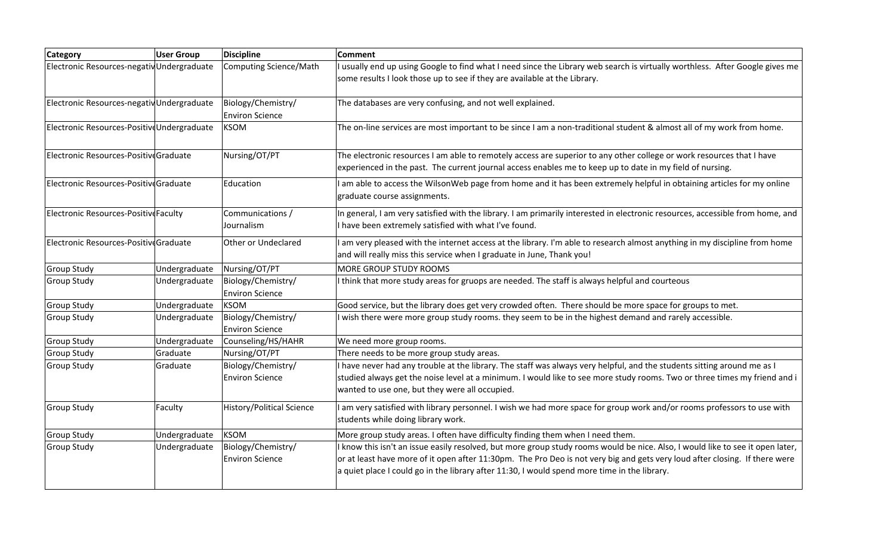| <b>Category</b>                             | <b>User Group</b> | <b>Discipline</b>                            | Comment                                                                                                                                                                                                                                                                                                                                                       |
|---------------------------------------------|-------------------|----------------------------------------------|---------------------------------------------------------------------------------------------------------------------------------------------------------------------------------------------------------------------------------------------------------------------------------------------------------------------------------------------------------------|
| Electronic Resources-negativ Undergraduate  |                   | <b>Computing Science/Math</b>                | I usually end up using Google to find what I need since the Library web search is virtually worthless. After Google gives me<br>some results I look those up to see if they are available at the Library.                                                                                                                                                     |
| Electronic Resources-negativ Undergraduate  |                   | Biology/Chemistry/<br><b>Environ Science</b> | The databases are very confusing, and not well explained.                                                                                                                                                                                                                                                                                                     |
| Electronic Resources-Positive Undergraduate |                   | <b>KSOM</b>                                  | The on-line services are most important to be since I am a non-traditional student & almost all of my work from home.                                                                                                                                                                                                                                         |
| Electronic Resources-Positive Graduate      |                   | Nursing/OT/PT                                | The electronic resources I am able to remotely access are superior to any other college or work resources that I have<br>experienced in the past. The current journal access enables me to keep up to date in my field of nursing.                                                                                                                            |
| Electronic Resources-PositiveGraduate       |                   | Education                                    | I am able to access the WilsonWeb page from home and it has been extremely helpful in obtaining articles for my online<br>graduate course assignments.                                                                                                                                                                                                        |
| Electronic Resources-Positive Faculty       |                   | Communications /<br>Journalism               | In general, I am very satisfied with the library. I am primarily interested in electronic resources, accessible from home, and<br>I have been extremely satisfied with what I've found.                                                                                                                                                                       |
| Electronic Resources-Positive Graduate      |                   | Other or Undeclared                          | I am very pleased with the internet access at the library. I'm able to research almost anything in my discipline from home<br>and will really miss this service when I graduate in June, Thank you!                                                                                                                                                           |
| <b>Group Study</b>                          | Undergraduate     | Nursing/OT/PT                                | <b>MORE GROUP STUDY ROOMS</b>                                                                                                                                                                                                                                                                                                                                 |
| <b>Group Study</b>                          | Undergraduate     | Biology/Chemistry/<br><b>Environ Science</b> | I think that more study areas for gruops are needed. The staff is always helpful and courteous                                                                                                                                                                                                                                                                |
| <b>Group Study</b>                          | Undergraduate     | <b>KSOM</b>                                  | Good service, but the library does get very crowded often. There should be more space for groups to met.                                                                                                                                                                                                                                                      |
| <b>Group Study</b>                          | Undergraduate     | Biology/Chemistry/<br><b>Environ Science</b> | I wish there were more group study rooms. they seem to be in the highest demand and rarely accessible.                                                                                                                                                                                                                                                        |
| <b>Group Study</b>                          | Undergraduate     | Counseling/HS/HAHR                           | We need more group rooms.                                                                                                                                                                                                                                                                                                                                     |
| <b>Group Study</b>                          | Graduate          | Nursing/OT/PT                                | There needs to be more group study areas.                                                                                                                                                                                                                                                                                                                     |
| <b>Group Study</b>                          | Graduate          | Biology/Chemistry/<br><b>Environ Science</b> | I have never had any trouble at the library. The staff was always very helpful, and the students sitting around me as I<br>studied always get the noise level at a minimum. I would like to see more study rooms. Two or three times my friend and i<br>wanted to use one, but they were all occupied.                                                        |
| <b>Group Study</b>                          | Faculty           | <b>History/Political Science</b>             | I am very satisfied with library personnel. I wish we had more space for group work and/or rooms professors to use with<br>students while doing library work.                                                                                                                                                                                                 |
| <b>Group Study</b>                          | Undergraduate     | <b>KSOM</b>                                  | More group study areas. I often have difficulty finding them when I need them.                                                                                                                                                                                                                                                                                |
| <b>Group Study</b>                          | Undergraduate     | Biology/Chemistry/<br><b>Environ Science</b> | I know this isn't an issue easily resolved, but more group study rooms would be nice. Also, I would like to see it open later,<br>or at least have more of it open after 11:30pm. The Pro Deo is not very big and gets very loud after closing. If there were<br>a quiet place I could go in the library after 11:30, I would spend more time in the library. |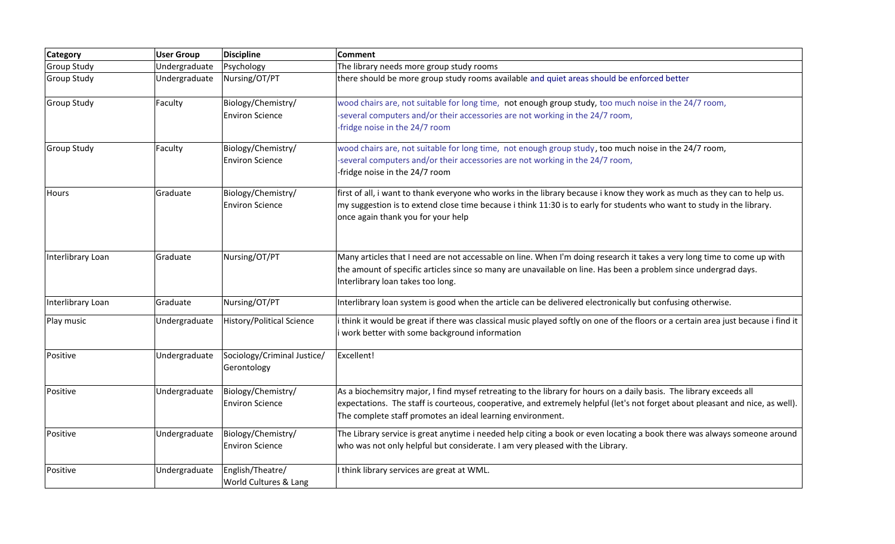| <b>Category</b>    | <b>User Group</b> | <b>Discipline</b>                            | <b>Comment</b>                                                                                                                                                                                                                                                                                                     |
|--------------------|-------------------|----------------------------------------------|--------------------------------------------------------------------------------------------------------------------------------------------------------------------------------------------------------------------------------------------------------------------------------------------------------------------|
| <b>Group Study</b> | Undergraduate     | Psychology                                   | The library needs more group study rooms                                                                                                                                                                                                                                                                           |
| <b>Group Study</b> | Undergraduate     | Nursing/OT/PT                                | there should be more group study rooms available and quiet areas should be enforced better                                                                                                                                                                                                                         |
| <b>Group Study</b> | Faculty           | Biology/Chemistry/<br><b>Environ Science</b> | wood chairs are, not suitable for long time, not enough group study, too much noise in the 24/7 room,<br>-several computers and/or their accessories are not working in the 24/7 room,<br>-fridge noise in the 24/7 room                                                                                           |
| <b>Group Study</b> | Faculty           | Biology/Chemistry/<br><b>Environ Science</b> | wood chairs are, not suitable for long time, not enough group study, too much noise in the 24/7 room,<br>-several computers and/or their accessories are not working in the 24/7 room,<br>-fridge noise in the 24/7 room                                                                                           |
| <b>Hours</b>       | Graduate          | Biology/Chemistry/<br><b>Environ Science</b> | first of all, i want to thank everyone who works in the library because i know they work as much as they can to help us.<br>my suggestion is to extend close time because i think 11:30 is to early for students who want to study in the library.<br>once again thank you for your help                           |
| Interlibrary Loan  | Graduate          | Nursing/OT/PT                                | Many articles that I need are not accessable on line. When I'm doing research it takes a very long time to come up with<br>the amount of specific articles since so many are unavailable on line. Has been a problem since undergrad days.<br>Interlibrary loan takes too long.                                    |
| Interlibrary Loan  | Graduate          | Nursing/OT/PT                                | Interlibrary loan system is good when the article can be delivered electronically but confusing otherwise.                                                                                                                                                                                                         |
| Play music         | Undergraduate     | <b>History/Political Science</b>             | i think it would be great if there was classical music played softly on one of the floors or a certain area just because i find it<br>i work better with some background information                                                                                                                               |
| Positive           | Undergraduate     | Sociology/Criminal Justice/<br>Gerontology   | Excellent!                                                                                                                                                                                                                                                                                                         |
| Positive           | Undergraduate     | Biology/Chemistry/<br><b>Environ Science</b> | As a biochemsitry major, I find mysef retreating to the library for hours on a daily basis. The library exceeds all<br>expectations. The staff is courteous, cooperative, and extremely helpful (let's not forget about pleasant and nice, as well).<br>The complete staff promotes an ideal learning environment. |
| Positive           | Undergraduate     | Biology/Chemistry/<br><b>Environ Science</b> | The Library service is great anytime i needed help citing a book or even locating a book there was always someone around<br>who was not only helpful but considerate. I am very pleased with the Library.                                                                                                          |
| Positive           | Undergraduate     | English/Theatre/<br>World Cultures & Lang    | I think library services are great at WML.                                                                                                                                                                                                                                                                         |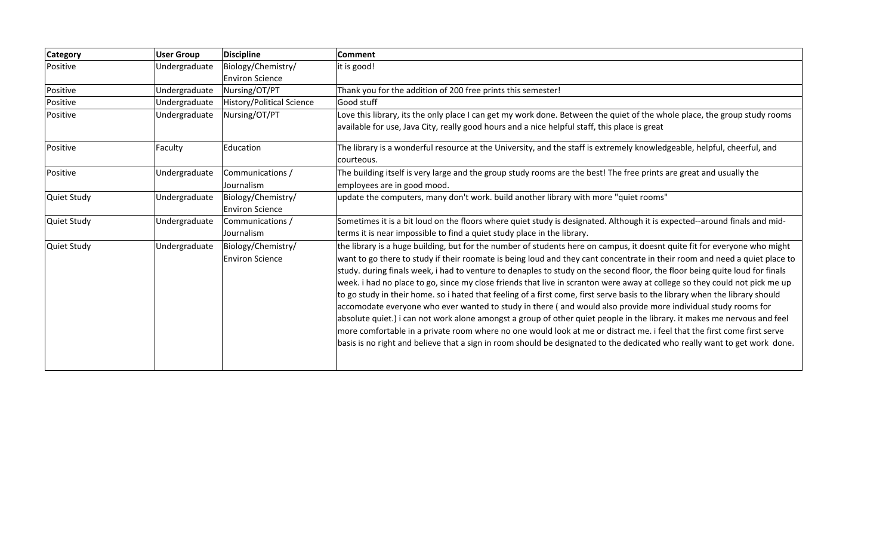| <b>Category</b>    | <b>User Group</b> | <b>Discipline</b>                            | <b>Comment</b>                                                                                                                                                                                                                                                                                                                                                                                                                                                                                                                                                                                                                                                                                                                                                                                                                                                                                                                                                                                                                                                                                                                                            |
|--------------------|-------------------|----------------------------------------------|-----------------------------------------------------------------------------------------------------------------------------------------------------------------------------------------------------------------------------------------------------------------------------------------------------------------------------------------------------------------------------------------------------------------------------------------------------------------------------------------------------------------------------------------------------------------------------------------------------------------------------------------------------------------------------------------------------------------------------------------------------------------------------------------------------------------------------------------------------------------------------------------------------------------------------------------------------------------------------------------------------------------------------------------------------------------------------------------------------------------------------------------------------------|
| Positive           | Undergraduate     | Biology/Chemistry/                           | it is good!                                                                                                                                                                                                                                                                                                                                                                                                                                                                                                                                                                                                                                                                                                                                                                                                                                                                                                                                                                                                                                                                                                                                               |
|                    |                   | <b>Environ Science</b>                       |                                                                                                                                                                                                                                                                                                                                                                                                                                                                                                                                                                                                                                                                                                                                                                                                                                                                                                                                                                                                                                                                                                                                                           |
| Positive           | Undergraduate     | Nursing/OT/PT                                | Thank you for the addition of 200 free prints this semester!                                                                                                                                                                                                                                                                                                                                                                                                                                                                                                                                                                                                                                                                                                                                                                                                                                                                                                                                                                                                                                                                                              |
| Positive           | Undergraduate     | <b>History/Political Science</b>             | Good stuff                                                                                                                                                                                                                                                                                                                                                                                                                                                                                                                                                                                                                                                                                                                                                                                                                                                                                                                                                                                                                                                                                                                                                |
| Positive           | Undergraduate     | Nursing/OT/PT                                | Love this library, its the only place I can get my work done. Between the quiet of the whole place, the group study rooms<br>available for use, Java City, really good hours and a nice helpful staff, this place is great                                                                                                                                                                                                                                                                                                                                                                                                                                                                                                                                                                                                                                                                                                                                                                                                                                                                                                                                |
| Positive           | Faculty           | Education                                    | The library is a wonderful resource at the University, and the staff is extremely knowledgeable, helpful, cheerful, and<br>courteous.                                                                                                                                                                                                                                                                                                                                                                                                                                                                                                                                                                                                                                                                                                                                                                                                                                                                                                                                                                                                                     |
| Positive           | Undergraduate     | Communications /<br>Journalism               | The building itself is very large and the group study rooms are the best! The free prints are great and usually the<br>employees are in good mood.                                                                                                                                                                                                                                                                                                                                                                                                                                                                                                                                                                                                                                                                                                                                                                                                                                                                                                                                                                                                        |
| <b>Quiet Study</b> | Undergraduate     | Biology/Chemistry/<br><b>Environ Science</b> | update the computers, many don't work. build another library with more "quiet rooms"                                                                                                                                                                                                                                                                                                                                                                                                                                                                                                                                                                                                                                                                                                                                                                                                                                                                                                                                                                                                                                                                      |
| <b>Quiet Study</b> | Undergraduate     | Communications /<br>Journalism               | Sometimes it is a bit loud on the floors where quiet study is designated. Although it is expected--around finals and mid-<br>terms it is near impossible to find a quiet study place in the library.                                                                                                                                                                                                                                                                                                                                                                                                                                                                                                                                                                                                                                                                                                                                                                                                                                                                                                                                                      |
| <b>Quiet Study</b> | Undergraduate     | Biology/Chemistry/<br><b>Environ Science</b> | the library is a huge building, but for the number of students here on campus, it doesnt quite fit for everyone who might<br>want to go there to study if their roomate is being loud and they cant concentrate in their room and need a quiet place to<br>study. during finals week, i had to venture to denaples to study on the second floor, the floor being quite loud for finals<br>week. i had no place to go, since my close friends that live in scranton were away at college so they could not pick me up<br>to go study in their home. so i hated that feeling of a first come, first serve basis to the library when the library should<br>accomodate everyone who ever wanted to study in there (and would also provide more individual study rooms for<br>absolute quiet.) i can not work alone amongst a group of other quiet people in the library. it makes me nervous and feel<br>more comfortable in a private room where no one would look at me or distract me. i feel that the first come first serve<br>basis is no right and believe that a sign in room should be designated to the dedicated who really want to get work done. |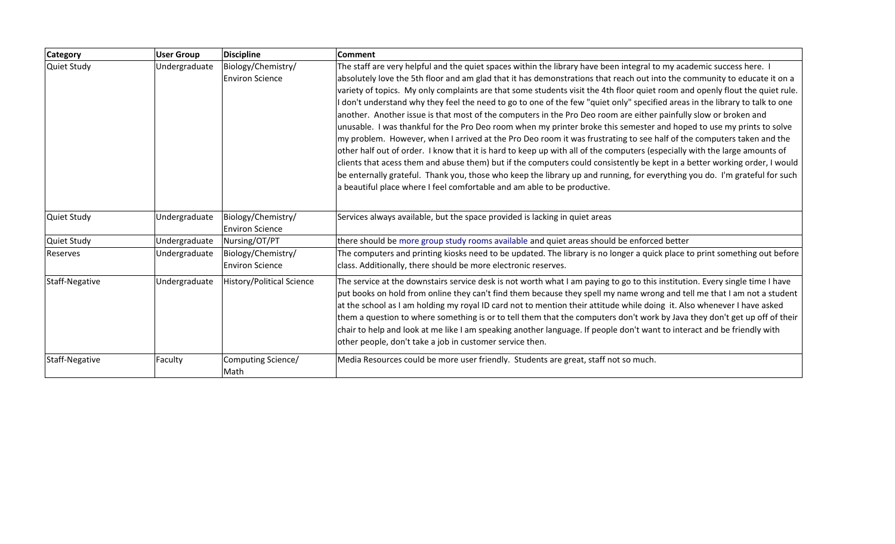| <b>Category</b> | <b>User Group</b> | <b>Discipline</b>                            | <b>Comment</b>                                                                                                                                                                                                                                                                                                                                                                                                                                                                                                                                                                                                                                                                                                                                                                                                                                                                                                                                                                                                                                                                                                                                                                                                                                                                                                                                                |
|-----------------|-------------------|----------------------------------------------|---------------------------------------------------------------------------------------------------------------------------------------------------------------------------------------------------------------------------------------------------------------------------------------------------------------------------------------------------------------------------------------------------------------------------------------------------------------------------------------------------------------------------------------------------------------------------------------------------------------------------------------------------------------------------------------------------------------------------------------------------------------------------------------------------------------------------------------------------------------------------------------------------------------------------------------------------------------------------------------------------------------------------------------------------------------------------------------------------------------------------------------------------------------------------------------------------------------------------------------------------------------------------------------------------------------------------------------------------------------|
| Quiet Study     | Undergraduate     | Biology/Chemistry/<br><b>Environ Science</b> | The staff are very helpful and the quiet spaces within the library have been integral to my academic success here. I<br>absolutely love the 5th floor and am glad that it has demonstrations that reach out into the community to educate it on a<br>variety of topics. My only complaints are that some students visit the 4th floor quiet room and openly flout the quiet rule.<br>I don't understand why they feel the need to go to one of the few "quiet only" specified areas in the library to talk to one<br>another. Another issue is that most of the computers in the Pro Deo room are either painfully slow or broken and<br>unusable. I was thankful for the Pro Deo room when my printer broke this semester and hoped to use my prints to solve<br>my problem. However, when I arrived at the Pro Deo room it was frustrating to see half of the computers taken and the<br>other half out of order. I know that it is hard to keep up with all of the computers (especially with the large amounts of<br>clients that acess them and abuse them) but if the computers could consistently be kept in a better working order, I would<br>be enternally grateful. Thank you, those who keep the library up and running, for everything you do. I'm grateful for such<br>a beautiful place where I feel comfortable and am able to be productive. |
| Quiet Study     | Undergraduate     | Biology/Chemistry/<br><b>Environ Science</b> | Services always available, but the space provided is lacking in quiet areas                                                                                                                                                                                                                                                                                                                                                                                                                                                                                                                                                                                                                                                                                                                                                                                                                                                                                                                                                                                                                                                                                                                                                                                                                                                                                   |
| Quiet Study     | Undergraduate     | Nursing/OT/PT                                | there should be more group study rooms available and quiet areas should be enforced better                                                                                                                                                                                                                                                                                                                                                                                                                                                                                                                                                                                                                                                                                                                                                                                                                                                                                                                                                                                                                                                                                                                                                                                                                                                                    |
| Reserves        | Undergraduate     | Biology/Chemistry/<br><b>Environ Science</b> | The computers and printing kiosks need to be updated. The library is no longer a quick place to print something out before<br>class. Additionally, there should be more electronic reserves.                                                                                                                                                                                                                                                                                                                                                                                                                                                                                                                                                                                                                                                                                                                                                                                                                                                                                                                                                                                                                                                                                                                                                                  |
| Staff-Negative  | Undergraduate     | <b>History/Political Science</b>             | The service at the downstairs service desk is not worth what I am paying to go to this institution. Every single time I have<br>put books on hold from online they can't find them because they spell my name wrong and tell me that I am not a student<br>at the school as I am holding my royal ID card not to mention their attitude while doing it. Also whenever I have asked<br>them a question to where something is or to tell them that the computers don't work by Java they don't get up off of their<br>chair to help and look at me like I am speaking another language. If people don't want to interact and be friendly with<br>other people, don't take a job in customer service then.                                                                                                                                                                                                                                                                                                                                                                                                                                                                                                                                                                                                                                                       |
| Staff-Negative  | Faculty           | Computing Science/<br>Math                   | Media Resources could be more user friendly. Students are great, staff not so much.                                                                                                                                                                                                                                                                                                                                                                                                                                                                                                                                                                                                                                                                                                                                                                                                                                                                                                                                                                                                                                                                                                                                                                                                                                                                           |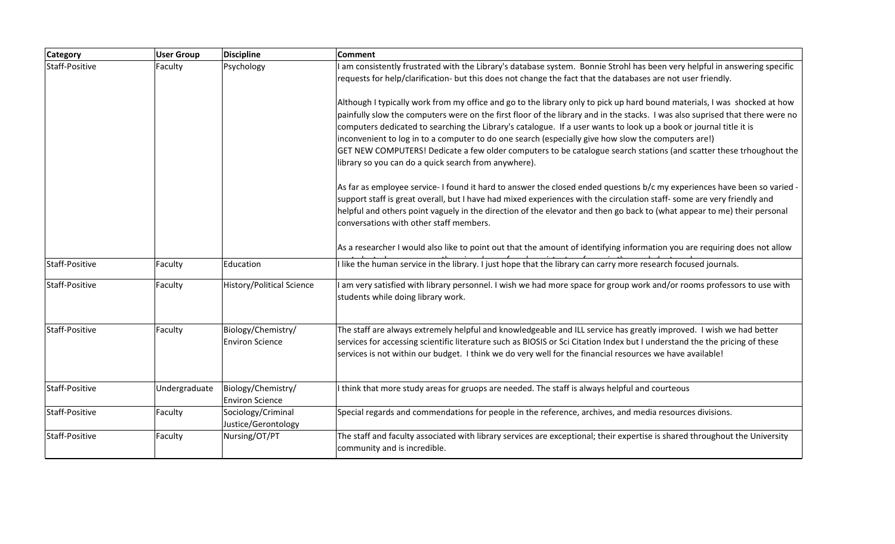| <b>Category</b> | <b>User Group</b> | <b>Discipline</b>                            | Comment                                                                                                                                                                                                                                                                                                                                                                                                                                                                                                                                                                                                                                                                |
|-----------------|-------------------|----------------------------------------------|------------------------------------------------------------------------------------------------------------------------------------------------------------------------------------------------------------------------------------------------------------------------------------------------------------------------------------------------------------------------------------------------------------------------------------------------------------------------------------------------------------------------------------------------------------------------------------------------------------------------------------------------------------------------|
| Staff-Positive  | Faculty           | Psychology                                   | I am consistently frustrated with the Library's database system. Bonnie Strohl has been very helpful in answering specific<br>requests for help/clarification- but this does not change the fact that the databases are not user friendly.                                                                                                                                                                                                                                                                                                                                                                                                                             |
|                 |                   |                                              | Although I typically work from my office and go to the library only to pick up hard bound materials, I was shocked at how<br>painfully slow the computers were on the first floor of the library and in the stacks. I was also suprised that there were no<br>computers dedicated to searching the Library's catalogue. If a user wants to look up a book or journal title it is<br>inconvenient to log in to a computer to do one search (especially give how slow the computers are!)<br>GET NEW COMPUTERS! Dedicate a few older computers to be catalogue search stations (and scatter these trhoughout the<br>library so you can do a quick search from anywhere). |
|                 |                   |                                              | As far as employee service- I found it hard to answer the closed ended questions b/c my experiences have been so varied<br>support staff is great overall, but I have had mixed experiences with the circulation staff- some are very friendly and<br>helpful and others point vaguely in the direction of the elevator and then go back to (what appear to me) their personal<br>conversations with other staff members.                                                                                                                                                                                                                                              |
|                 |                   |                                              | As a researcher I would also like to point out that the amount of identifying information you are requiring does not allow                                                                                                                                                                                                                                                                                                                                                                                                                                                                                                                                             |
| Staff-Positive  | Faculty           | Education                                    | I like the human service in the library. I just hope that the library can carry more research focused journals.                                                                                                                                                                                                                                                                                                                                                                                                                                                                                                                                                        |
| Staff-Positive  | Faculty           | <b>History/Political Science</b>             | I am very satisfied with library personnel. I wish we had more space for group work and/or rooms professors to use with<br>students while doing library work.                                                                                                                                                                                                                                                                                                                                                                                                                                                                                                          |
| Staff-Positive  | Faculty           | Biology/Chemistry/<br><b>Environ Science</b> | The staff are always extremely helpful and knowledgeable and ILL service has greatly improved. I wish we had better<br>services for accessing scientific literature such as BIOSIS or Sci Citation Index but I understand the the pricing of these<br>services is not within our budget. I think we do very well for the financial resources we have available!                                                                                                                                                                                                                                                                                                        |
| Staff-Positive  | Undergraduate     | Biology/Chemistry/<br><b>Environ Science</b> | I think that more study areas for gruops are needed. The staff is always helpful and courteous                                                                                                                                                                                                                                                                                                                                                                                                                                                                                                                                                                         |
| Staff-Positive  | Faculty           | Sociology/Criminal<br>Justice/Gerontology    | Special regards and commendations for people in the reference, archives, and media resources divisions.                                                                                                                                                                                                                                                                                                                                                                                                                                                                                                                                                                |
| Staff-Positive  | Faculty           | Nursing/OT/PT                                | The staff and faculty associated with library services are exceptional; their expertise is shared throughout the University<br>community and is incredible.                                                                                                                                                                                                                                                                                                                                                                                                                                                                                                            |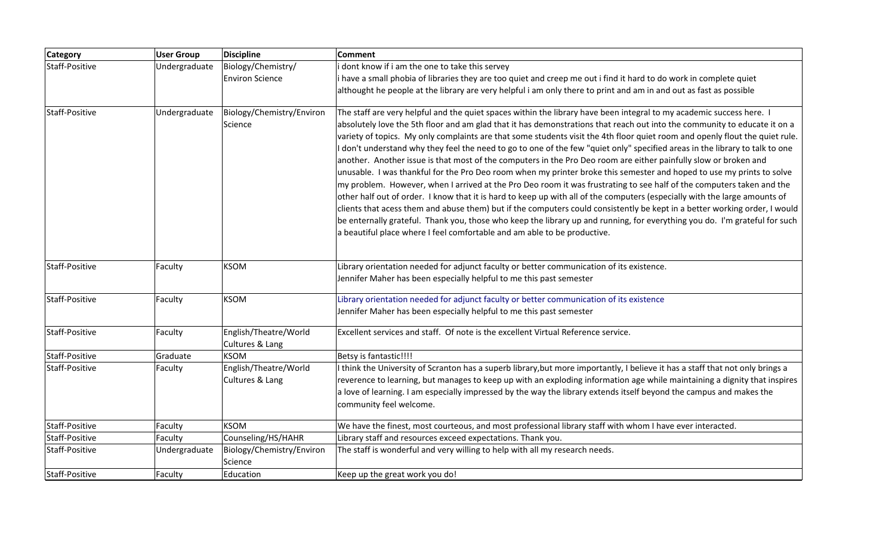| <b>Category</b> | <b>User Group</b> | <b>Discipline</b>                        | Comment                                                                                                                                                                                                                                                                                                                                                                                                                                                                                                                                                                                                                                                                                                                                                                                                                                                                                                                                                                                                                                                                                                                                                                                                                                                                                                                                                       |
|-----------------|-------------------|------------------------------------------|---------------------------------------------------------------------------------------------------------------------------------------------------------------------------------------------------------------------------------------------------------------------------------------------------------------------------------------------------------------------------------------------------------------------------------------------------------------------------------------------------------------------------------------------------------------------------------------------------------------------------------------------------------------------------------------------------------------------------------------------------------------------------------------------------------------------------------------------------------------------------------------------------------------------------------------------------------------------------------------------------------------------------------------------------------------------------------------------------------------------------------------------------------------------------------------------------------------------------------------------------------------------------------------------------------------------------------------------------------------|
| Staff-Positive  | Undergraduate     | Biology/Chemistry/                       | i dont know if i am the one to take this servey                                                                                                                                                                                                                                                                                                                                                                                                                                                                                                                                                                                                                                                                                                                                                                                                                                                                                                                                                                                                                                                                                                                                                                                                                                                                                                               |
|                 |                   | <b>Environ Science</b>                   | i have a small phobia of libraries they are too quiet and creep me out i find it hard to do work in complete quiet                                                                                                                                                                                                                                                                                                                                                                                                                                                                                                                                                                                                                                                                                                                                                                                                                                                                                                                                                                                                                                                                                                                                                                                                                                            |
|                 |                   |                                          | althought he people at the library are very helpful i am only there to print and am in and out as fast as possible                                                                                                                                                                                                                                                                                                                                                                                                                                                                                                                                                                                                                                                                                                                                                                                                                                                                                                                                                                                                                                                                                                                                                                                                                                            |
| Staff-Positive  | Undergraduate     | Biology/Chemistry/Environ<br>Science     | The staff are very helpful and the quiet spaces within the library have been integral to my academic success here. I<br>absolutely love the 5th floor and am glad that it has demonstrations that reach out into the community to educate it on a<br>variety of topics. My only complaints are that some students visit the 4th floor quiet room and openly flout the quiet rule.<br>I don't understand why they feel the need to go to one of the few "quiet only" specified areas in the library to talk to one<br>another. Another issue is that most of the computers in the Pro Deo room are either painfully slow or broken and<br>unusable. I was thankful for the Pro Deo room when my printer broke this semester and hoped to use my prints to solve<br>my problem. However, when I arrived at the Pro Deo room it was frustrating to see half of the computers taken and the<br>other half out of order. I know that it is hard to keep up with all of the computers (especially with the large amounts of<br>clients that acess them and abuse them) but if the computers could consistently be kept in a better working order, I would<br>be enternally grateful. Thank you, those who keep the library up and running, for everything you do. I'm grateful for such<br>a beautiful place where I feel comfortable and am able to be productive. |
| Staff-Positive  | Faculty           | <b>KSOM</b>                              | Library orientation needed for adjunct faculty or better communication of its existence.<br>Jennifer Maher has been especially helpful to me this past semester                                                                                                                                                                                                                                                                                                                                                                                                                                                                                                                                                                                                                                                                                                                                                                                                                                                                                                                                                                                                                                                                                                                                                                                               |
| Staff-Positive  | Faculty           | <b>KSOM</b>                              | Library orientation needed for adjunct faculty or better communication of its existence                                                                                                                                                                                                                                                                                                                                                                                                                                                                                                                                                                                                                                                                                                                                                                                                                                                                                                                                                                                                                                                                                                                                                                                                                                                                       |
|                 |                   |                                          | Jennifer Maher has been especially helpful to me this past semester                                                                                                                                                                                                                                                                                                                                                                                                                                                                                                                                                                                                                                                                                                                                                                                                                                                                                                                                                                                                                                                                                                                                                                                                                                                                                           |
| Staff-Positive  | Faculty           | English/Theatre/World<br>Cultures & Lang | Excellent services and staff. Of note is the excellent Virtual Reference service.                                                                                                                                                                                                                                                                                                                                                                                                                                                                                                                                                                                                                                                                                                                                                                                                                                                                                                                                                                                                                                                                                                                                                                                                                                                                             |
| Staff-Positive  | Graduate          | <b>KSOM</b>                              | Betsy is fantastic!!!!                                                                                                                                                                                                                                                                                                                                                                                                                                                                                                                                                                                                                                                                                                                                                                                                                                                                                                                                                                                                                                                                                                                                                                                                                                                                                                                                        |
| Staff-Positive  | Faculty           | English/Theatre/World<br>Cultures & Lang | I think the University of Scranton has a superb library,but more importantly, I believe it has a staff that not only brings a<br>reverence to learning, but manages to keep up with an exploding information age while maintaining a dignity that inspires<br>a love of learning. I am especially impressed by the way the library extends itself beyond the campus and makes the<br>community feel welcome.                                                                                                                                                                                                                                                                                                                                                                                                                                                                                                                                                                                                                                                                                                                                                                                                                                                                                                                                                  |
| Staff-Positive  | Faculty           | <b>KSOM</b>                              | We have the finest, most courteous, and most professional library staff with whom I have ever interacted.                                                                                                                                                                                                                                                                                                                                                                                                                                                                                                                                                                                                                                                                                                                                                                                                                                                                                                                                                                                                                                                                                                                                                                                                                                                     |
| Staff-Positive  | Faculty           | Counseling/HS/HAHR                       | Library staff and resources exceed expectations. Thank you.                                                                                                                                                                                                                                                                                                                                                                                                                                                                                                                                                                                                                                                                                                                                                                                                                                                                                                                                                                                                                                                                                                                                                                                                                                                                                                   |
| Staff-Positive  | Undergraduate     | Biology/Chemistry/Environ<br>Science     | The staff is wonderful and very willing to help with all my research needs.                                                                                                                                                                                                                                                                                                                                                                                                                                                                                                                                                                                                                                                                                                                                                                                                                                                                                                                                                                                                                                                                                                                                                                                                                                                                                   |
| Staff-Positive  | Faculty           | Education                                | Keep up the great work you do!                                                                                                                                                                                                                                                                                                                                                                                                                                                                                                                                                                                                                                                                                                                                                                                                                                                                                                                                                                                                                                                                                                                                                                                                                                                                                                                                |